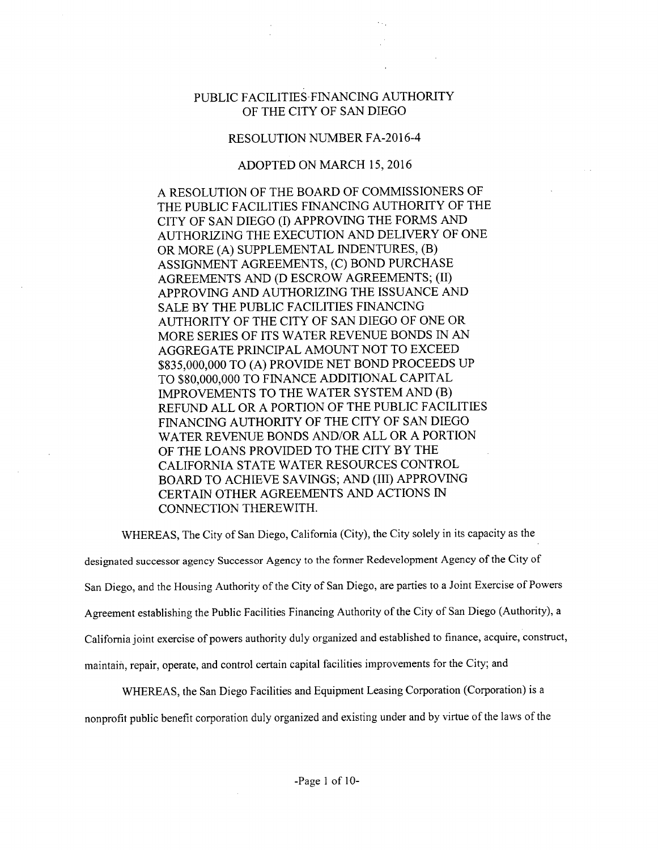## PUBLIC FACILITIES FINANCING AUTHORITY OF THE CITY OF SAN DIEGO

## RESOLUTION NUMBER FA-2016-4

## ADOPTED ON MARCH 15, 2016

A RESOLUTION OF THE BOARD OF COMMISSIONERS OF THE PUBLIC FACILITIES FINANCING AUTHORITY OF THE CITY OF SAN DIEGO (I) APPROVING THE FORMS AND AUTHORIZING THE EXECUTION AND DELIVERY OF ONE OR MORE (A) SUPPLEMENTAL INDENTURES, (B) ASSIGNMENT AGREEMENTS, (C) BOND PURCHASE AGREEMENTS AND (D ESCROW AGREEMENTS; (II) APPROVING AND AUTHORIZING THE ISSUANCE AND SALE BY THE PUBLIC FACILITIES FINANCING AUTHORITY OF THE CITY OF SAN DIEGO OF ONE OR MORE SERIES OF ITS WATER REVENUE BONDS IN AN AGGREGATE PRINCIPAL AMOUNT NOT TO EXCEED \$835,000,000 TO (A) PROVIDE NET BOND PROCEEDS UP TO \$80,000,000 TO FINANCE ADDITIONAL CAPITAL IMPROVEMENTS TO THE WATER SYSTEM AND (B) REFUND ALL OR A PORTION OF THE PUBLIC FACILITIES FINANCING AUTHORITY OF THE CITY OF SAN DIEGO WATER REVENUE BONDS AND/OR ALL OR A PORTION OF THE LOANS PROVIDED TO THE CITY BY THE CALIFORNIA STATE WATER RESOURCES CONTROL BOARD TO ACHIEVE SAVINGS; AND (III) APPROVING CERTAIN OTHER AGREEMENTS AND ACTIONS IN CONNECTION THEREWITH.

WHEREAS, The City of San Diego, California (City), the City solely in its capacity as the

designated successor agency Successor Agency to the former Redevelopment Agency of the City of

San Diego, and the Housing Authority of the City of San Diego, are parties to a Joint Exercise of Powers

Agreement establishing the Public Facilities Financing Authority of the City of San Diego (Authority), a

California joint exercise of powers authority duly organized and established to finance, acquire, construct,

maintain, repair, operate, and control certain capital facilities improvements for the City; and

WHEREAS, the San Diego Facilities and Equipment Leasing Corporation (Corporation) is a

nonprofit public benefit corporation duly organized and existing under and by virtue of the laws of the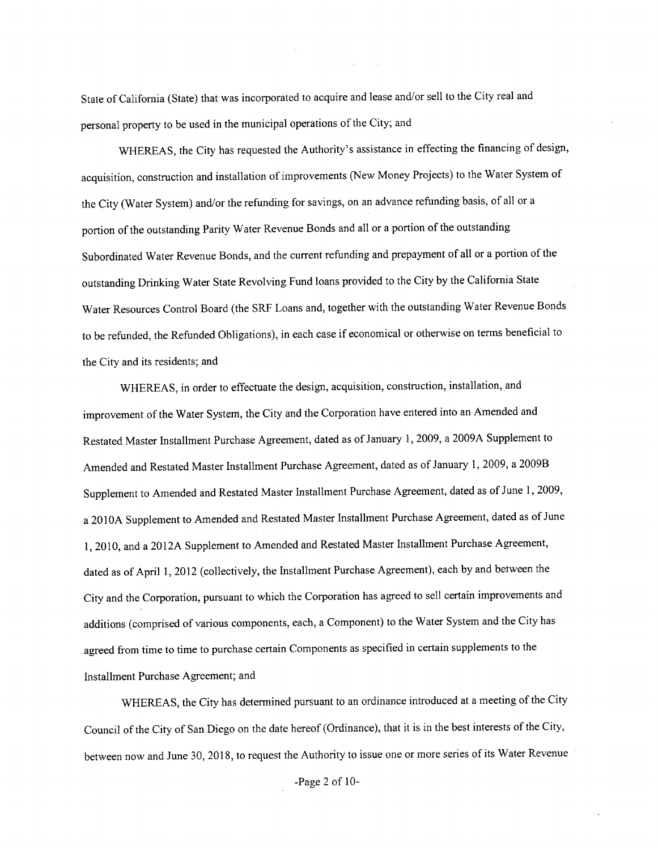State of California (State) that was incorporated to acquire and lease and/or sell to the City real and personal property to be used in the municipal operations of the City; and

WHEREAS, the City has requested the Authority's assistance in effecting the financing of design, acquisition, construction and installation of improvements (New Money Projects) to the Water System of the City (Water System) and/or the refunding for savings, on an advance refunding basis, of all or a portion of the outstanding Parity Water Revenue Bonds and all or a portion of the outstanding Subordinated Water Revenue Bonds, and the current refunding and prepayment of all or a portion of the outstanding Drinking Water State Revolving Fund loans provided to the City by the California State Water Resources Control Board (the SRF Loans and, together with the outstanding Water Revenue Bonds to be refunded, the Refunded Obligations), in each case if economical or otherwise on tenns beneficial to the City and its residents; and

WHEREAS, in order to effectuate the design, acquisition, construction, installation, and improvement of the Water System, the City and the Corporation have entered into an Amended and Restated Master Installment Purchase Agreement, dated as of January 1, 2009, a 2009A Supplement to Amended and Restated Master Installment Purchase Agreement, dated as of January 1, 2009, a 2009B Supplement to Amended and Restated Master Installment Purchase Agreement, dated as of June 1, 2009, a 2010A Supplement to Amended and Restated Master Installment Purchase Agreement, dated as of June 1, 2010, and a 2012A Supplement to Amended and Restated Master Installment Purchase Agreement, dated as of April 1, 2012 (collectively, the Installment Purchase Agreement), each by and between the City and the Corporation, pursuant to which the Corporation has agreed to sell certain improvements and additions (comprised of various components, each, a Component) to the Water System and the City has agreed from time to time to purchase certain Components as specified in certain supplements to the Installment Purchase Agreement; and

WHEREAS, the City has determined pursuant to an ordinance introduced at a meeting of the City Council of the City of San Diego on the date hereof (Ordinance), that it is in the best interests of the City, between now and June 30, 2018, to request the Authority to issue one or more series of its Water Revenue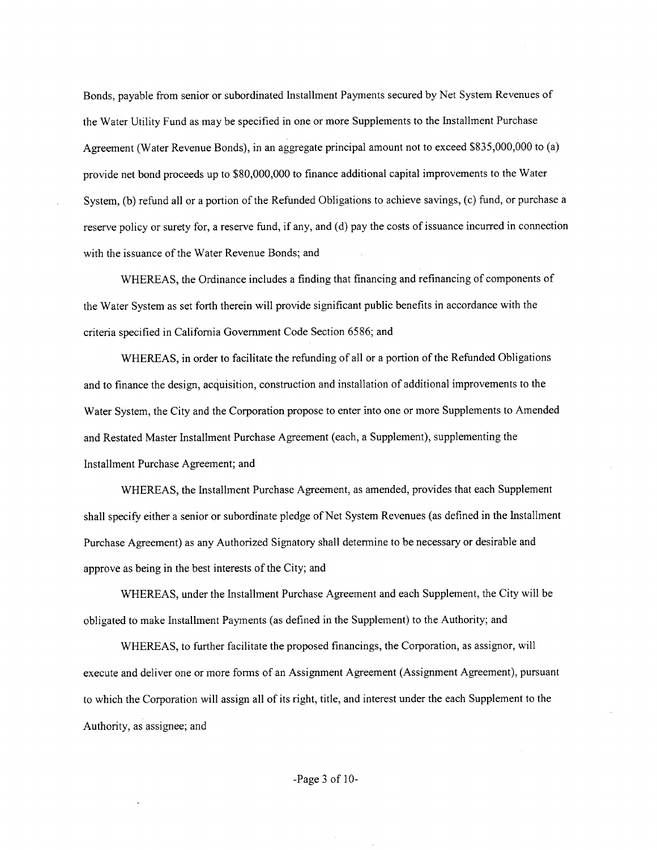Bonds, payable from senior or subordinated Installment Payments secured by Net System Revenues of the Water Utility Fund as may be specified in one or more Supplements to the Installment Purchase Agreement (Water Revenue Bonds), in an aggregate principal amount not to exceed \$835,000,000 to (a) provide net bond proceeds up to \$80,000,000 to finance additional capital improvements to the Water System, (b) refund all or a portion of the Refunded Obligations to achieve savings, (c) fund, or purchase a reserve policy or surety for, a reserve fund, if any, and (d) pay the costs ofissuance incurred in connection with the issuance of the Water Revenue Bonds; and

WHEREAS, the Ordinance includes a finding that financing and refinancing of components of the Water System as set forth therein will provide significant public benefits in accordance with the criteria specified in California Government Code Section 6586; and

WHEREAS, in order to facilitate the refunding of all or a portion of the Refunded Obligations and to finance the design, acquisition, construction and installation of additional improvements to the Water System, the City and the Corporation propose to enter into one or more Supplements to Amended and Restated Master Installment Purchase Agreement (each, a Supplement), supplementing the Installment Purchase Agreement; and

WHEREAS, the Installment Purchase Agreement, as amended, provides that each Supplement shall specify either a senior or subordinate pledge of Net System Revenues (as defined in the Installment Purchase Agreement) as any Authorized Signatory shall determine to be necessary or desirable and approve as being in the best interests of the City; and

WHEREAS, under the Installment Purchase Agreement and each Supplement, the City will be obligated to make Installment Payments (as defined in the Supplement) to the Authority; and

WHEREAS, to further facilitate the proposed financings, the Corporation, as assignor, will execute and deliver one or more forms of an Assignment Agreement (Assignment Agreement), pursuant to which the Corporation will assign all of its right, title, and interest under the each Supplement to the Authority, as assignee; and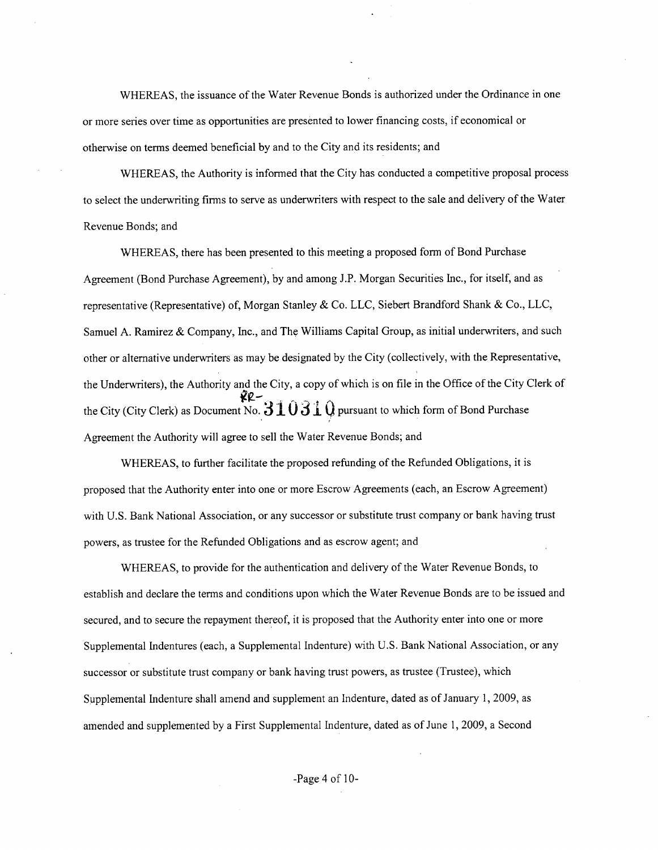WHEREAS, the issuance ofthe Water Revenue Bonds is authorized under the Ordinance in one or more series over time as opportunities are presented to lower financing costs, if economical or otherwise on terms deemed beneficial by and to the City and its residents; and

WHEREAS, the Authority is informed that the City has conducted a competitive proposal process to select the underwriting firms to serve as underwriters with respect to the sale and delivery ofthe Water Revenue Bonds; and

WHEREAS, there has been presented to this meeting a proposed form of Bond Purchase Agreement (Bond Purchase Agreement), by and among J.P. Morgan Securities Inc., for itself, and as representative (Representative) of, Morgan Stanley & Co. LLC, Siebert Brandford Shank & Co., LLC, Samuel A. Ramirez & Company, Inc., and The Williams Capital Group, as initial underwriters, and such other or alternative underwriters as may be designated by the City (collectively, with the Representative, the Underwriters), the Authority and the City, a copy of which is on file in the Office of the City Clerk of the City (City Clerk) as Document No.  $310310$  pursuant to which form of Bond Purchase Agreement the Authority will agree to sell the Water Revenue Bonds; and

WHEREAS, to further facilitate the proposed refunding of the Refunded Obligations, it is proposed that the Authority enter into one or more Escrow Agreements (each, an Escrow Agreement) with U.S. Bank National Association, or any successor or substitute trust company or bank having trust powers, as trustee for the Refunded Obligations and as escrow agent; and

WHEREAS, to provide for the authentication and delivery of the Water Revenue Bonds, to establish and declare the tenns and conditions upon which the Water Revenue Bonds are to be issued and secured, and to secure the repayment thereof, it is proposed that the Authority enter into one or more Supplemental Indentures (each, a Supplemental Indenture) with U.S. Bank National Association, or any successor or substitute trust company or bank having trust powers, as trustee (Trustee), which Supplemental Indenture shall amend and supplement an Indenture, dated as of January 1, 2009, as amended and supplemented by a First Supplemental Indenture, dated as of June 1, 2009, a Second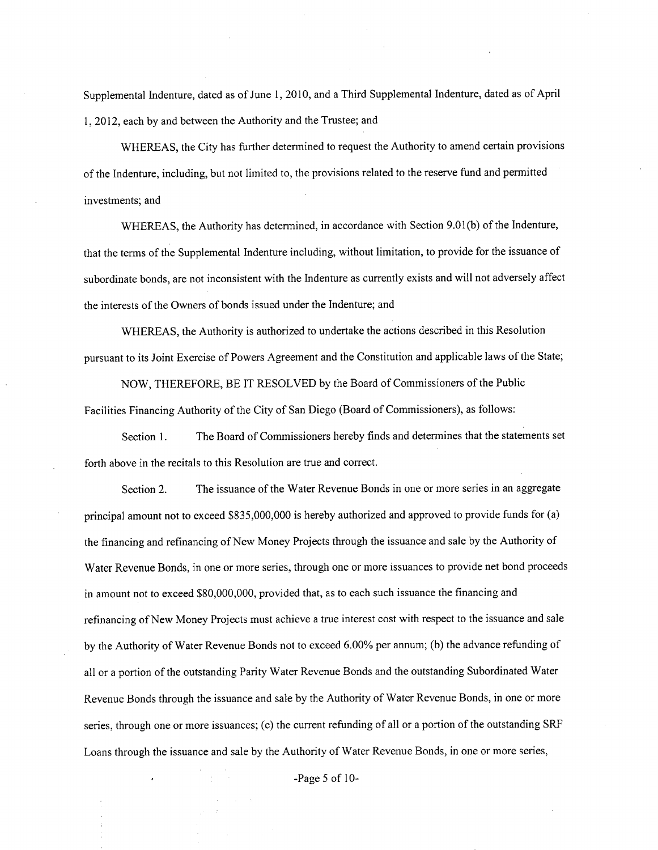Supplemental Indenture, dated as of June 1, 2010, and a Third Supplemental Indenture, dated as of April 1, 2012, each by and between the Authority and the Trustee; and

WHEREAS, the City has further detennined to request the Authority to amend certain provisions of the Indenture, including, but not limited to, the provisions related to the reserve fund and permitted investments; and

WHEREAS, the Authority has determined, in accordance with Section 9.01(b) of the Indenture, that the terms ofthe Supplemental Indenture including, without limitation, to provide for the issuance of subordinate bonds, are not inconsistent with the Indenture as currently exists and will not adversely affect the interests of the Owners of bonds issued under the Indenture; and

WHEREAS, the Authority is authorized to undertake the actions described in this Resolution pursuant to its Joint Exercise of Powers Agreement and the Constitution and applicable laws ofthe State;

NOW, THEREFORE, BE IT RESOLVED by the Board of Commissioners of the Public Facilities Financing Authority of the City of San Diego (Board of Commissioners), as follows:

Section 1. The Board of Commissioners hereby finds and determines that the statements set forth above in the recitals to this Resolution are true and correct.

Section 2. The issuance of the Water Revenue Bonds in one or more series in an aggregate principal amount not to exceed \$835,000,000 is hereby authorized and approved to provide funds for (a) the financing and refinancing of New Money Projects through the issuance and sale by the Authority of Water Revenue Bonds, in one or more series, through one or more issuances to provide net bond proceeds in amount not to exceed \$80,000,000, provided that, as to each such issuance the financing and refinancing of New Money Projects must achieve a true interest cost with respect to the issuance and sale by the Authority of Water Revenue Bonds not to exceed 6.00% per annum; (b) the advance refunding of all or a portion ofthe outstanding Parity Water Revenue Bonds and the outstanding Subordinated Water Revenue Bonds through the issuance and sale by the Authority of Water Revenue Bonds, in one or more series, through one or more issuances; (c) the current refunding of all or a portion of the outstanding SRF Loans through the issuance and sale by the Authority of Water Revenue Bonds, in one or more series,

-Page 5 of 10-

'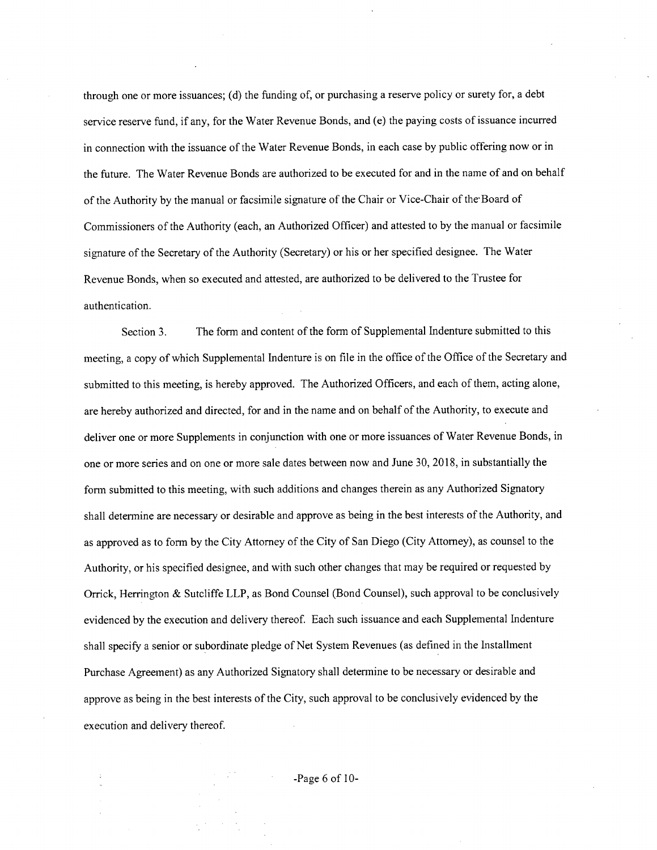through one or more issuances; (d) the funding of, or purchasing a reserve policy or surety for, a debt service reserve fund, if any, for the Water Revenue Bonds, and (e) the paying costs of issuance incurred in connection with the issuance of the Water Revenue Bonds, in each case by public offering now or in the future. The Water Revenue Bonds are authorized to be executed for and in the name of and on behalf of the Authority by the manual or facsimile signature of the Chair or Vice-Chair of the Board of Commissioners ofthe Authority (each, an Authorized Officer) and attested to by the manual or facsimile signature of the Secretary of the Authority (Secretary) or his or her specified designee. The Water Revenue Bonds, when so executed and attested, are authorized to be delivered to the Trustee for authentication.

Section 3. The form and content of the form of Supplemental Indenture submitted to this meeting, a copy of which Supplemental Indenture is on file in the office of the Office of the Secretary and submitted to this meeting, is hereby approved. The Authorized Officers, and each of them, acting alone, are hereby authorized and directed, for and in the name and on behalf ofthe Authority, to execute and deliver one or more Supplements in conjunction with one or more issuances of Water Revenue Bonds, in one or more series and on one or more sale dates between now and June 30, 2018, in substantially the form submitted to this meeting, with such additions and changes therein as any Authorized Signatory shall determine are necessary or desirable and approve as being in the best interests of the Authority, and as approved as to form by the City Attorney of the City of San Diego (City Attorney), as counsel to the Authority, or his specified designee, and with such other changes that may be required or requested by Orrick, Herrington & Sutcliffe LLP, as Bond Counsel (Bond Counsel), such approval to be conclusively evidenced by the execution and delivery thereof. Each such issuance and each Supplemental Indenture shall specify a senior or subordinate pledge of Net System Revenues (as defined in the Installment Purchase Agreement) as any Authorized Signatory shall detennine to be necessary or desirable and approve as being in the best interests of the City, such approval to be conclusively evidenced by the execution and delivery thereof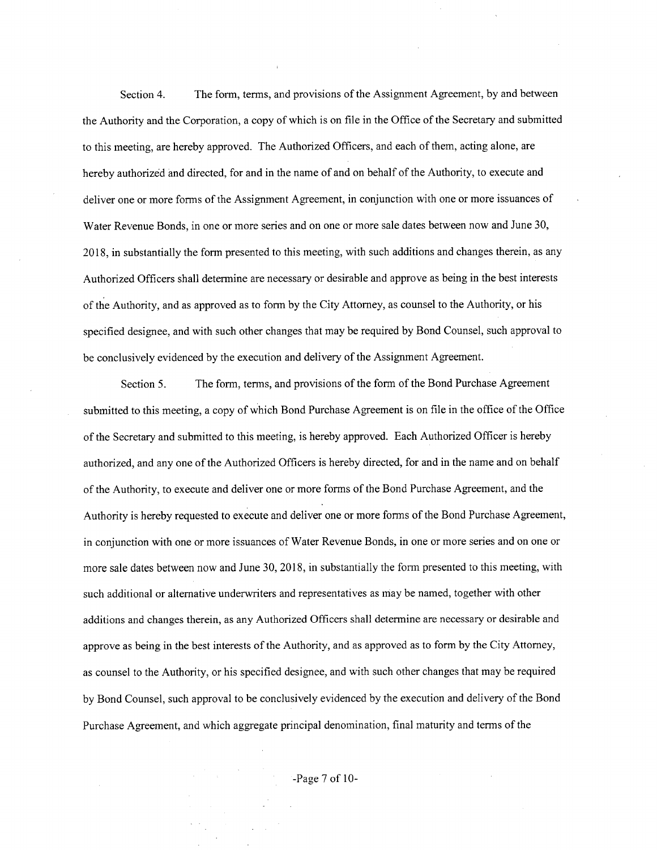Section 4. The form, terms, and provisions of the Assignment Agreement, by and between the Authority and the Corporation, a copy of which is on file in the Office of the Secretary and submitted to this meeting, are hereby approved. The Authorized Officers, and each ofthem, acting alone, are hereby authorized and directed, for and in the name of and on behalf of the Authority, to execute and deliver one or more forms of the Assignment Agreement, in conjunction with one or more issuances of Water Revenue Bonds, in one or more series and on one or more sale dates between now and June 30, 2018, in substantially the form presented to this meeting, with such additions and changes therein, as any Authorized Officers shall determine are necessary or desirable and approve as being in the best interests ofthe Authority, and as approved as to form by the City Attorney, as counsel to the Authority, or his specified designee, and with such other changes that may be required by Bond Counsel, such approval to be conclusively evidenced by the execution and delivery of the Assignment Agreement.

Section 5. The form, terms, and provisions of the form of the Bond Purchase Agreement submitted to this meeting, a copy of which Bond Purchase Agreement is on file in the office of the Office of the Secretary and submitted to this meeting, is hereby approved. Each Authorized Officer is hereby authorized, and any one of the Authorized Officers is hereby directed, for and in the name and on behalf of the Authority, to execute and deliver one or more forms of the Bond Purchase Agreement, and the Authority is hereby requested to execute and deliver one or more forms of the Bond Purchase Agreement, in conjunction with one or more issuances of Water Revenue Bonds, in one or more series and on one or more sale dates between now and June 30, 2018, in substantially the form presented to this meeting, with such additional or alternative underwriters and representatives as may be named, together with other additions and changes therein, as any Authorized Officers shall determine are necessary or desirable and approve as being in the best interests of the Authority, and as approved as to form by the City Attorney, as counsel to the Authority, or his specified designee, and with such other changes that may be required by Bond Counsel, such approval to be conclusively evidenced by the execution and delivery ofthe Bond Purchase Agreement, and which aggregate principal denomination, final maturity and terms of the

-Page 7 of 10-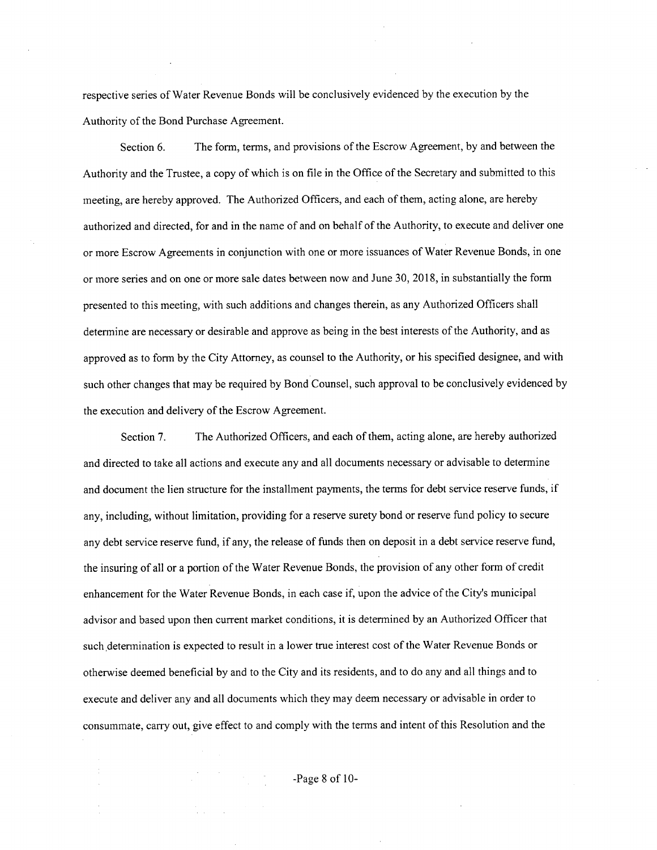respective series of Water Revenue Bonds will be conclusively evidenced by the execution by the Authority of the Bond Purchase Agreement.

Section 6. The form, terms, and provisions of the Escrow Agreement, by and between the Authority and the Trustee, a copy of which is on file in the Office of the Secretary and submitted to this meeting, are hereby approved. The Authorized Officers, and each ofthem, acting alone, are hereby authorized and directed, for and in the name of and on behalf of the Authority, to execute and deliver one or more Escrow Agreements in conjunction with one or more issuances of Water Revenue Bonds, in one or more series and on one or more sale dates between now and June 30, 2018, in substantially the form presented to this meeting, with such additions and changes therein, as any Authorized Officers shall determine are necessary or desirable and approve as being in the best interests of the Authority, and as approved as to fonn by the City Attorney, as counsel to the Authority, or his specified designee, and with such other changes that may be required by Bond Counsel, such approval to be conclusively evidenced by the execution and delivery of the Escrow Agreement.

Section 7. The Authorized Officers, and each of them, acting alone, are hereby authorized and directed to take all actions and execute any and all documents necessary or advisable to determine and document the lien structure for the installment payments, the terms for debt service reserve funds, if any, including, without limitation, providing for a reserve surety bond or reserve fund policy to secure any debt service reserve fund, if any, the release of funds then on deposit in a debt service reserve fund, the insuring of all or a portion of the Water Revenue Bonds, the provision of any other form of credit enhancement for the Water Revenue Bonds, in each case if, upon the advice of the City's municipal advisor and based upon then current market conditions, it is determined by an Authorized Officer that such detennination is expected to result in a lower true interest cost ofthe Water Revenue Bonds or otherwise deemed beneficial by and to the City and its residents, and to do any and all things and to execute and deliver any and all documents which they may deem necessary or advisable in order to consummate, carry out, give effect to and comply with the terms and intent ofthis Resolution and the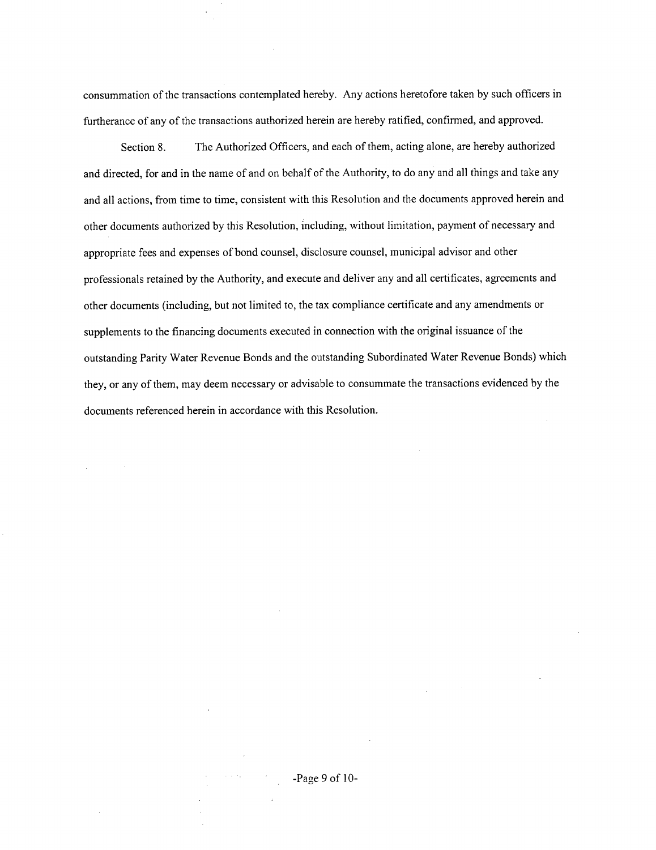consummation of the transactions contemplated hereby. Any actions heretofore taken by such officers in furtherance of any of the transactions authorized herein are hereby ratified, confirmed, and approved.

Section 8. The Authorized Officers, and each of them, acting alone, are hereby authorized and directed, for and in the name of and on behalf of the Authority, to do any and all things and take any and all actions, from time to time, consistent with this Resolution and the documents approved herein and other documents authorized by this Resolution, including, without limitation, payment of necessary and appropriate fees and expenses of bond counsel, disclosure counsel, municipal advisor and other professionals retained by the Authority, and execute and deliver any and all certificates, agreements and other documents (including, but not limited to, the tax compliance certificate and any amendments or supplements to the financing documents executed in connection with the original issuance of the outstanding Parity Water Revenue Bonds and the outstanding Subordinated Water Revenue Bonds) which they, or any of them, may deem necessary or advisable to consummate the transactions evidenced by the documents referenced herein in accordance with this Resolution.

## -Page 9 of 10-

 $\mathcal{A}=\mathcal{A}+\mathcal{B}_{\mathcal{A}}$  , and